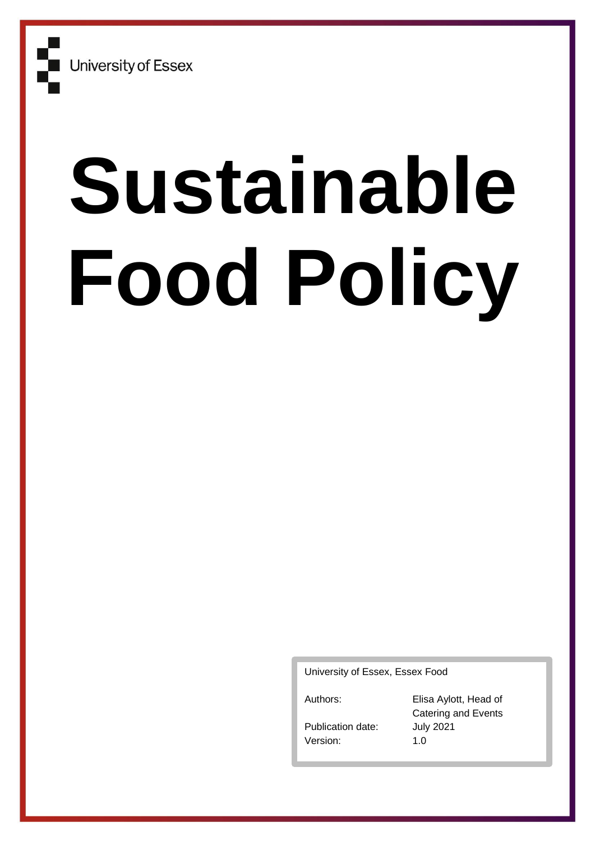# **Sustainable Food Policy**

University of Essex, Essex Food

Authors: Elisa Aylott, Head of Catering and Events Publication date: July 2021 Version: 1.0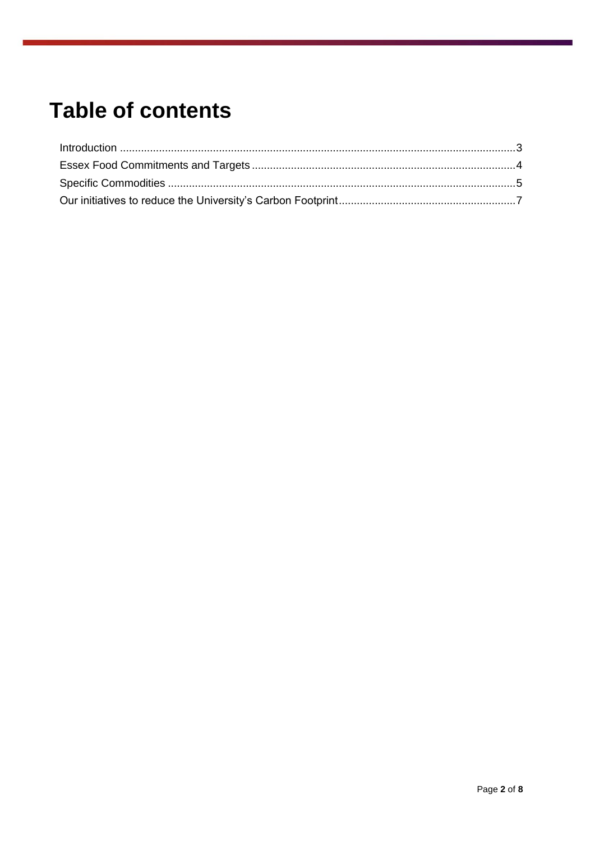# **Table of contents**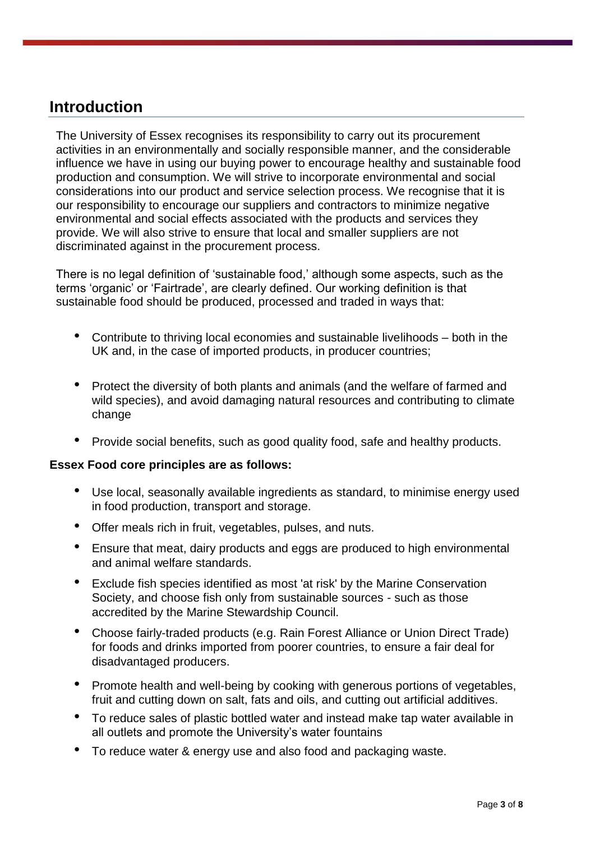### **Introduction**

The University of Essex recognises its responsibility to carry out its procurement activities in an environmentally and socially responsible manner, and the considerable influence we have in using our buying power to encourage healthy and sustainable food production and consumption. We will strive to incorporate environmental and social considerations into our product and service selection process. We recognise that it is our responsibility to encourage our suppliers and contractors to minimize negative environmental and social effects associated with the products and services they provide. We will also strive to ensure that local and smaller suppliers are not discriminated against in the procurement process.

There is no legal definition of 'sustainable food,' although some aspects, such as the terms 'organic' or 'Fairtrade', are clearly defined. Our working definition is that sustainable food should be produced, processed and traded in ways that:

- Contribute to thriving local economies and sustainable livelihoods both in the UK and, in the case of imported products, in producer countries;
- Protect the diversity of both plants and animals (and the welfare of farmed and wild species), and avoid damaging natural resources and contributing to climate change
- Provide social benefits, such as good quality food, safe and healthy products.

#### **Essex Food core principles are as follows:**

- Use local, seasonally available ingredients as standard, to minimise energy used in food production, transport and storage.
- Offer meals rich in fruit, vegetables, pulses, and nuts.
- Ensure that meat, dairy products and eggs are produced to high environmental and animal welfare standards.
- Exclude fish species identified as most 'at risk' by the Marine Conservation Society, and choose fish only from sustainable sources - such as those accredited by the Marine Stewardship Council.
- Choose fairly-traded products (e.g. Rain Forest Alliance or Union Direct Trade) for foods and drinks imported from poorer countries, to ensure a fair deal for disadvantaged producers.
- Promote health and well-being by cooking with generous portions of vegetables, fruit and cutting down on salt, fats and oils, and cutting out artificial additives.
- To reduce sales of plastic bottled water and instead make tap water available in all outlets and promote the University's water fountains
- To reduce water & energy use and also food and packaging waste.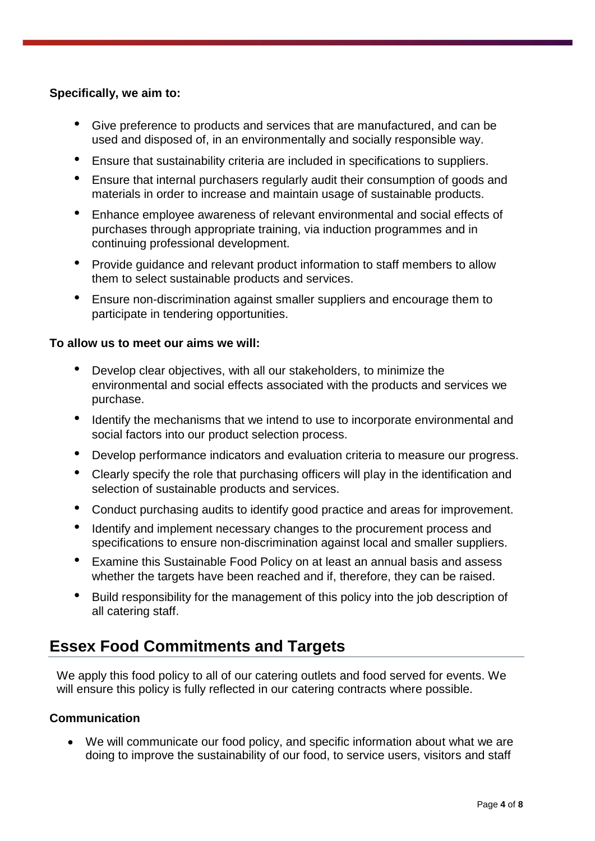#### **Specifically, we aim to:**

- Give preference to products and services that are manufactured, and can be used and disposed of, in an environmentally and socially responsible way.
- Ensure that sustainability criteria are included in specifications to suppliers.
- Ensure that internal purchasers regularly audit their consumption of goods and materials in order to increase and maintain usage of sustainable products.
- Enhance employee awareness of relevant environmental and social effects of purchases through appropriate training, via induction programmes and in continuing professional development.
- Provide guidance and relevant product information to staff members to allow them to select sustainable products and services.
- Ensure non-discrimination against smaller suppliers and encourage them to participate in tendering opportunities.

#### **To allow us to meet our aims we will:**

- Develop clear objectives, with all our stakeholders, to minimize the environmental and social effects associated with the products and services we purchase.
- Identify the mechanisms that we intend to use to incorporate environmental and social factors into our product selection process.
- Develop performance indicators and evaluation criteria to measure our progress.
- Clearly specify the role that purchasing officers will play in the identification and selection of sustainable products and services.
- Conduct purchasing audits to identify good practice and areas for improvement.
- Identify and implement necessary changes to the procurement process and specifications to ensure non-discrimination against local and smaller suppliers.
- Examine this Sustainable Food Policy on at least an annual basis and assess whether the targets have been reached and if, therefore, they can be raised.
- Build responsibility for the management of this policy into the job description of all catering staff.

# **Essex Food Commitments and Targets**

We apply this food policy to all of our catering outlets and food served for events. We will ensure this policy is fully reflected in our catering contracts where possible.

#### **Communication**

• We will communicate our food policy, and specific information about what we are doing to improve the sustainability of our food, to service users, visitors and staff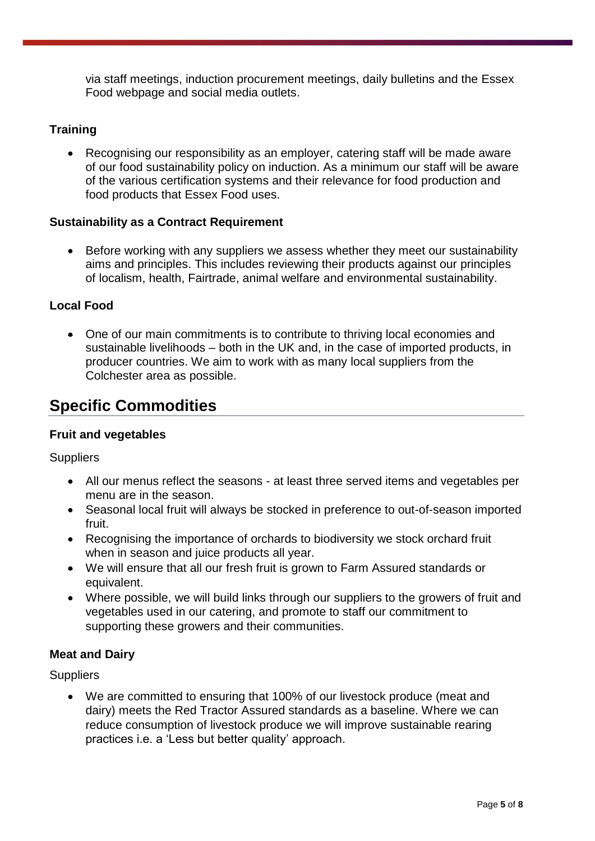via staff meetings, induction procurement meetings, daily bulletins and the Essex Food webpage and social media outlets.

#### **Training**

• Recognising our responsibility as an employer, catering staff will be made aware of our food sustainability policy on induction. As a minimum our staff will be aware of the various certification systems and their relevance for food production and food products that Essex Food uses.

#### **Sustainability as a Contract Requirement**

• Before working with any suppliers we assess whether they meet our sustainability aims and principles. This includes reviewing their products against our principles of localism, health, Fairtrade, animal welfare and environmental sustainability.

#### **Local Food**

• One of our main commitments is to contribute to thriving local economies and sustainable livelihoods – both in the UK and, in the case of imported products, in producer countries. We aim to work with as many local suppliers from the Colchester area as possible.

# **Specific Commodities**

#### **Fruit and vegetables**

**Suppliers** 

- All our menus reflect the seasons at least three served items and vegetables per menu are in the season.
- Seasonal local fruit will always be stocked in preference to out-of-season imported fruit.
- Recognising the importance of orchards to biodiversity we stock orchard fruit when in season and juice products all year.
- We will ensure that all our fresh fruit is grown to Farm Assured standards or equivalent.
- Where possible, we will build links through our suppliers to the growers of fruit and vegetables used in our catering, and promote to staff our commitment to supporting these growers and their communities.

#### **Meat and Dairy**

**Suppliers** 

• We are committed to ensuring that 100% of our livestock produce (meat and dairy) meets the Red Tractor Assured standards as a baseline. Where we can reduce consumption of livestock produce we will improve sustainable rearing practices i.e. a 'Less but better quality' approach.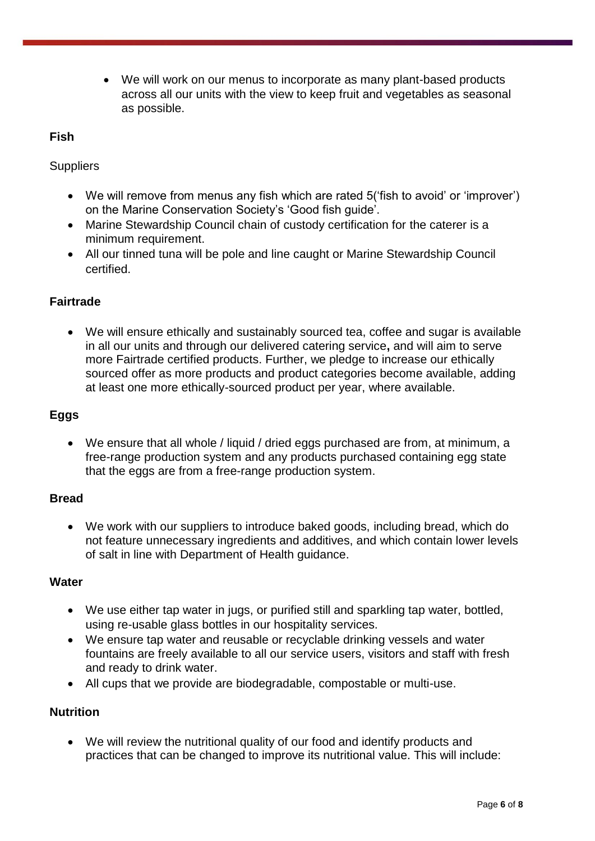• We will work on our menus to incorporate as many plant-based products across all our units with the view to keep fruit and vegetables as seasonal as possible.

#### **Fish**

**Suppliers** 

- We will remove from menus any fish which are rated 5('fish to avoid' or 'improver') on the Marine Conservation Society's 'Good fish guide'.
- Marine Stewardship Council chain of custody certification for the caterer is a minimum requirement.
- All our tinned tuna will be pole and line caught or Marine Stewardship Council certified.

#### **Fairtrade**

• We will ensure ethically and sustainably sourced tea, coffee and sugar is available in all our units and through our delivered catering service**,** and will aim to serve more Fairtrade certified products. Further, we pledge to increase our ethically sourced offer as more products and product categories become available, adding at least one more ethically-sourced product per year, where available.

#### **Eggs**

• We ensure that all whole / liquid / dried eggs purchased are from, at minimum, a free-range production system and any products purchased containing egg state that the eggs are from a free-range production system.

#### **Bread**

• We work with our suppliers to introduce baked goods, including bread, which do not feature unnecessary ingredients and additives, and which contain lower levels of salt in line with Department of Health guidance.

#### **Water**

- We use either tap water in jugs, or purified still and sparkling tap water, bottled, using re-usable glass bottles in our hospitality services.
- We ensure tap water and reusable or recyclable drinking vessels and water fountains are freely available to all our service users, visitors and staff with fresh and ready to drink water.
- All cups that we provide are biodegradable, compostable or multi-use.

#### **Nutrition**

• We will review the nutritional quality of our food and identify products and practices that can be changed to improve its nutritional value. This will include: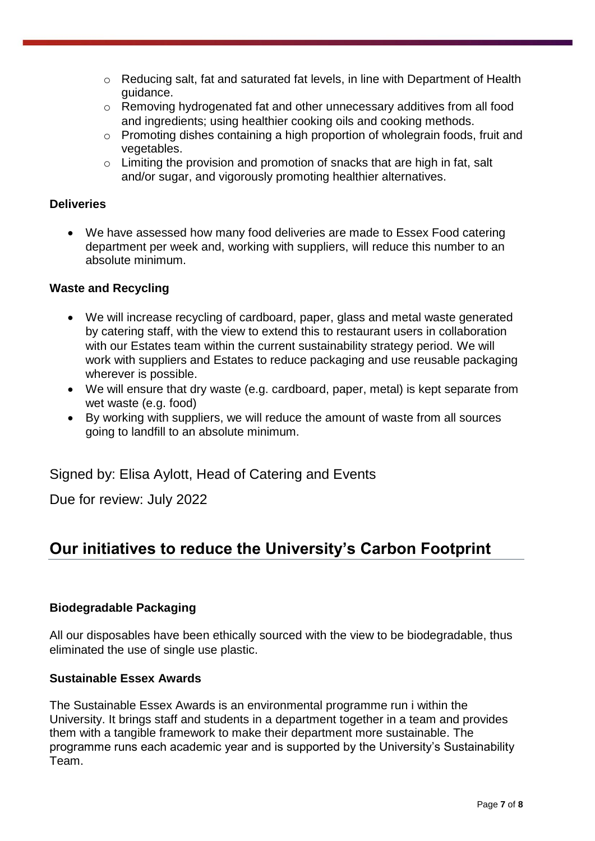- o Reducing salt, fat and saturated fat levels, in line with Department of Health guidance.
- o Removing hydrogenated fat and other unnecessary additives from all food and ingredients; using healthier cooking oils and cooking methods.
- o Promoting dishes containing a high proportion of wholegrain foods, fruit and vegetables.
- o Limiting the provision and promotion of snacks that are high in fat, salt and/or sugar, and vigorously promoting healthier alternatives.

#### **Deliveries**

• We have assessed how many food deliveries are made to Essex Food catering department per week and, working with suppliers, will reduce this number to an absolute minimum.

#### **Waste and Recycling**

- We will increase recycling of cardboard, paper, glass and metal waste generated by catering staff, with the view to extend this to restaurant users in collaboration with our Estates team within the current sustainability strategy period. We will work with suppliers and Estates to reduce packaging and use reusable packaging wherever is possible.
- We will ensure that dry waste (e.g. cardboard, paper, metal) is kept separate from wet waste (e.g. food)
- By working with suppliers, we will reduce the amount of waste from all sources going to landfill to an absolute minimum.

Signed by: Elisa Aylott, Head of Catering and Events

Due for review: July 2022

# **Our initiatives to reduce the University's Carbon Footprint**

#### **Biodegradable Packaging**

All our disposables have been ethically sourced with the view to be biodegradable, thus eliminated the use of single use plastic.

#### **Sustainable Essex Awards**

The Sustainable Essex Awards is an environmental programme run i within the University. It brings staff and students in a department together in a team and provides them with a tangible framework to make their department more sustainable. The programme runs each academic year and is supported by the University's Sustainability Team.